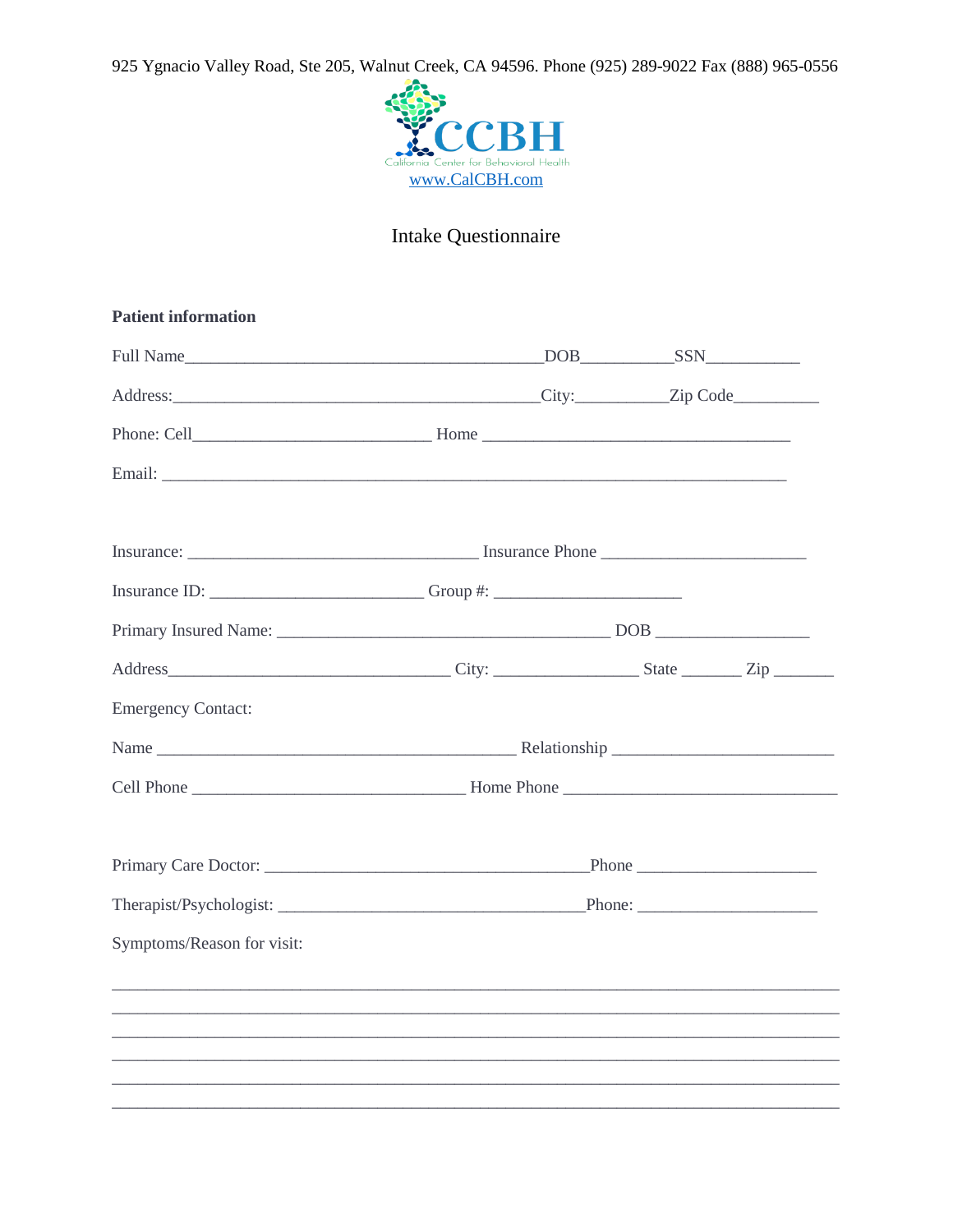925 Ygnacio Valley Road, Ste 205, Walnut Creek, CA 94596. Phone (925) 289-9022 Fax (888) 965-0556



## Intake Questionnaire

| <b>Patient information</b>                                                        |  |  |
|-----------------------------------------------------------------------------------|--|--|
|                                                                                   |  |  |
| Address: <u>City:</u> Zip Code                                                    |  |  |
|                                                                                   |  |  |
|                                                                                   |  |  |
|                                                                                   |  |  |
| Insurance ID: _____________________________Group #: _____________________________ |  |  |
|                                                                                   |  |  |
|                                                                                   |  |  |
| <b>Emergency Contact:</b>                                                         |  |  |
|                                                                                   |  |  |
|                                                                                   |  |  |
|                                                                                   |  |  |
|                                                                                   |  |  |
| Symptoms/Reason for visit:                                                        |  |  |
|                                                                                   |  |  |
|                                                                                   |  |  |
|                                                                                   |  |  |
|                                                                                   |  |  |
|                                                                                   |  |  |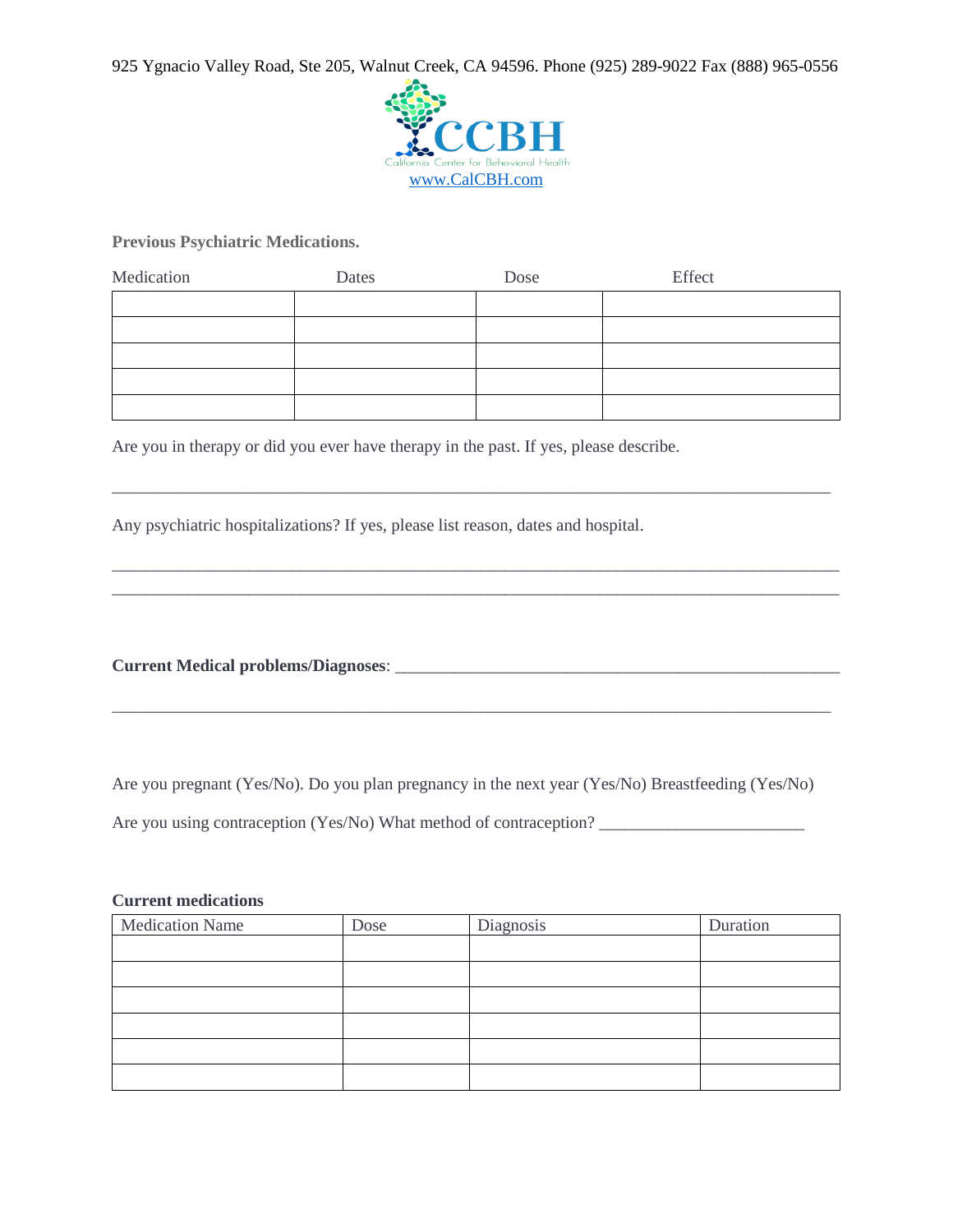925 Ygnacio Valley Road, Ste 205, Walnut Creek, CA 94596. Phone (925) 289-9022 Fax (888) 965-0556



**Previous Psychiatric Medications.** 

| Medication | Dates | Dose | Effect |
|------------|-------|------|--------|
|            |       |      |        |
|            |       |      |        |
|            |       |      |        |
|            |       |      |        |
|            |       |      |        |

\_\_\_\_\_\_\_\_\_\_\_\_\_\_\_\_\_\_\_\_\_\_\_\_\_\_\_\_\_\_\_\_\_\_\_\_\_\_\_\_\_\_\_\_\_\_\_\_\_\_\_\_\_\_\_\_\_\_\_\_\_\_\_\_\_\_\_\_\_\_\_\_\_\_\_\_\_\_\_\_\_\_\_\_

\_\_\_\_\_\_\_\_\_\_\_\_\_\_\_\_\_\_\_\_\_\_\_\_\_\_\_\_\_\_\_\_\_\_\_\_\_\_\_\_\_\_\_\_\_\_\_\_\_\_\_\_\_\_\_\_\_\_\_\_\_\_\_\_\_\_\_\_\_\_\_\_\_\_\_\_\_\_\_\_\_\_\_\_\_ \_\_\_\_\_\_\_\_\_\_\_\_\_\_\_\_\_\_\_\_\_\_\_\_\_\_\_\_\_\_\_\_\_\_\_\_\_\_\_\_\_\_\_\_\_\_\_\_\_\_\_\_\_\_\_\_\_\_\_\_\_\_\_\_\_\_\_\_\_\_\_\_\_\_\_\_\_\_\_\_\_\_\_\_\_

Are you in therapy or did you ever have therapy in the past. If yes, please describe.

Any psychiatric hospitalizations? If yes, please list reason, dates and hospital.

**Current Medical problems/Diagnoses**: \_\_\_\_\_\_\_\_\_\_\_\_\_\_\_\_\_\_\_\_\_\_\_\_\_\_\_\_\_\_\_\_\_\_\_\_\_\_\_\_\_\_\_\_\_\_\_\_\_\_\_\_

Are you pregnant (Yes/No). Do you plan pregnancy in the next year (Yes/No) Breastfeeding (Yes/No)

\_\_\_\_\_\_\_\_\_\_\_\_\_\_\_\_\_\_\_\_\_\_\_\_\_\_\_\_\_\_\_\_\_\_\_\_\_\_\_\_\_\_\_\_\_\_\_\_\_\_\_\_\_\_\_\_\_\_\_\_\_\_\_\_\_\_\_\_\_\_\_\_\_\_\_\_\_\_\_\_\_\_\_\_

Are you using contraception (Yes/No) What method of contraception? \_\_\_\_\_\_\_\_\_\_\_\_\_\_\_\_\_\_\_\_\_\_\_\_

## **Current medications**

| <b>Medication Name</b> | Dose | Diagnosis | Duration |
|------------------------|------|-----------|----------|
|                        |      |           |          |
|                        |      |           |          |
|                        |      |           |          |
|                        |      |           |          |
|                        |      |           |          |
|                        |      |           |          |